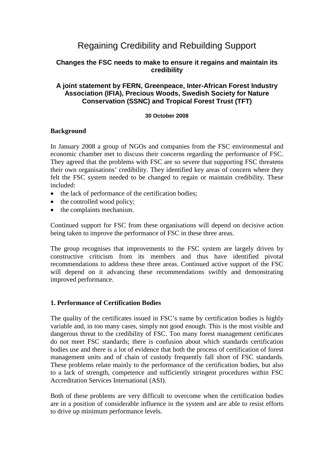# Regaining Credibility and Rebuilding Support

## **Changes the FSC needs to make to ensure it regains and maintain its credibility**

## **A joint statement by FERN, Greenpeace, Inter-African Forest Industry Association (IFIA), Precious Woods, Swedish Society for Nature Conservation (SSNC) and Tropical Forest Trust (TFT)**

#### **30 October 2008**

### **Background**

In January 2008 a group of NGOs and companies from the FSC environmental and economic chamber met to discuss their concerns regarding the performance of FSC. They agreed that the problems with FSC are so severe that supporting FSC threatens their own organisations' credibility. They identified key areas of concern where they felt the FSC system needed to be changed to regain or maintain credibility. These included:

- the lack of performance of the certification bodies;
- the controlled wood policy;
- the complaints mechanism.

Continued support for FSC from these organisations will depend on decisive action being taken to improve the performance of FSC in these three areas.

The group recognises that improvements to the FSC system are largely driven by constructive criticism from its members and thus have identified pivotal recommendations to address these three areas. Continued active support of the FSC will depend on it advancing these recommendations swiftly and demonstrating improved performance.

### **1. Performance of Certification Bodies**

The quality of the certificates issued in FSC's name by certification bodies is highly variable and, in too many cases, simply not good enough. This is the most visible and dangerous threat to the credibility of FSC. Too many forest management certificates do not meet FSC standards; there is confusion about which standards certification bodies use and there is a lot of evidence that both the process of certification of forest management units and of chain of custody frequently fall short of FSC standards. These problems relate mainly to the performance of the certification bodies, but also to a lack of strength, competence and sufficiently stringent procedures within FSC Accreditation Services International (ASI).

Both of these problems are very difficult to overcome when the certification bodies are in a position of considerable influence in the system and are able to resist efforts to drive up minimum performance levels.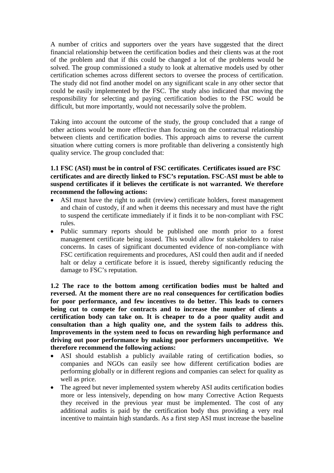A number of critics and supporters over the years have suggested that the direct financial relationship between the certification bodies and their clients was at the root of the problem and that if this could be changed a lot of the problems would be solved. The group commissioned a study to look at alternative models used by other certification schemes across different sectors to oversee the process of certification. The study did not find another model on any significant scale in any other sector that could be easily implemented by the FSC. The study also indicated that moving the responsibility for selecting and paying certification bodies to the FSC would be difficult, but more importantly, would not necessarily solve the problem.

Taking into account the outcome of the study, the group concluded that a range of other actions would be more effective than focusing on the contractual relationship between clients and certification bodies. This approach aims to reverse the current situation where cutting corners is more profitable than delivering a consistently high quality service. The group concluded that:

## **1.1 FSC (ASI) must be in control of FSC certificates**. **Certificates issued are FSC certificates and are directly linked to FSC's reputation. FSC-ASI must be able to suspend certificates if it believes the certificate is not warranted. We therefore recommend the following actions:**

- ASI must have the right to audit (review) certificate holders, forest management and chain of custody, if and when it deems this necessary and must have the right to suspend the certificate immediately if it finds it to be non-compliant with FSC rules.
- Public summary reports should be published one month prior to a forest management certificate being issued. This would allow for stakeholders to raise concerns. In cases of significant documented evidence of non-compliance with FSC certification requirements and procedures, ASI could then audit and if needed halt or delay a certificate before it is issued, thereby significantly reducing the damage to FSC's reputation.

**1.2 The race to the bottom among certification bodies must be halted and reversed. At the moment there are no real consequences for certification bodies for poor performance, and few incentives to do better. This leads to corners being cut to compete for contracts and to increase the number of clients a certification body can take on. It is cheaper to do a poor quality audit and consultation than a high quality one, and the system fails to address this. Improvements in the system need to focus on rewarding high performance and driving out poor performance by making poor performers uncompetitive. We therefore recommend the following actions:**

- ASI should establish a publicly available rating of certification bodies, so companies and NGOs can easily see how different certification bodies are performing globally or in different regions and companies can select for quality as well as price.
- The agreed but never implemented system whereby ASI audits certification bodies more or less intensively, depending on how many Corrective Action Requests they received in the previous year must be implemented. The cost of any additional audits is paid by the certification body thus providing a very real incentive to maintain high standards. As a first step ASI must increase the baseline